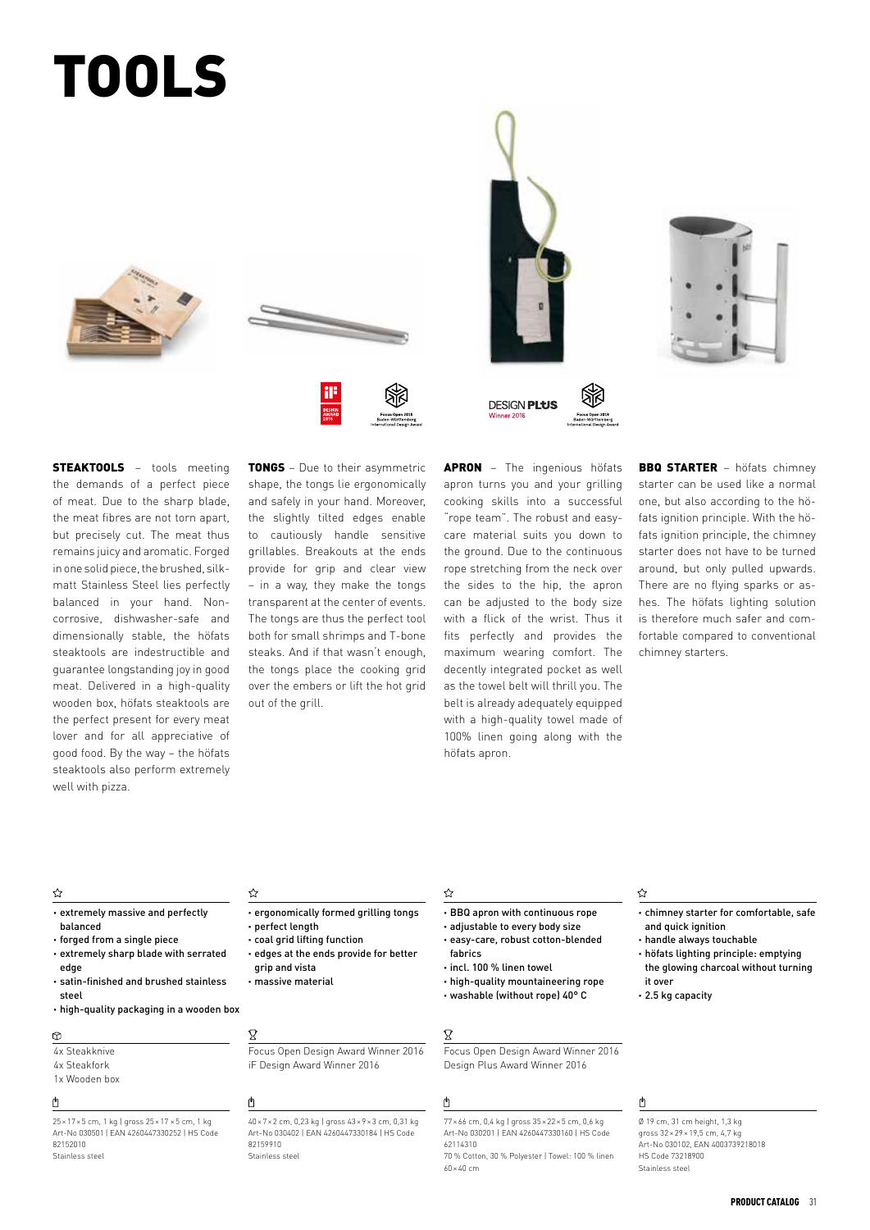# TOOLS











**STEAKTOOLS** - tools meeting the demands of a perfect piece of meat. Due to the sharp blade, the meat fibres are not torn apart, but precisely cut. The meat thus remains juicy and aromatic. Forged in one solid piece, the brushed, silkmatt Stainless Steel lies perfectly balanced in your hand. Noncorrosive, dishwasher-safe and dimensionally stable, the höfats steaktools are indestructible and guarantee longstanding joy in good meat. Delivered in a high-quality wooden box, höfats steaktools are the perfect present for every meat lover and for all appreciative of good food. By the way – the höfats steaktools also perform extremely well with pizza.

**TONGS** - Due to their asymmetric shape, the tongs lie ergonomically and safely in your hand. Moreover, the slightly tilted edges enable to cautiously handle sensitive grillables. Breakouts at the ends provide for grip and clear view – in a way, they make the tongs transparent at the center of events. The tongs are thus the perfect tool both for small shrimps and T-bone steaks. And if that wasn't enough, the tongs place the cooking grid over the embers or lift the hot grid out of the grill.

APRON - The ingenious höfats apron turns you and your grilling cooking skills into a successful "rope team". The robust and easycare material suits you down to the ground. Due to the continuous rope stretching from the neck over the sides to the hip, the apron can be adjusted to the body size with a flick of the wrist. Thus it fits perfectly and provides the maximum wearing comfort. The decently integrated pocket as well as the towel belt will thrill you. The belt is already adequately equipped with a high-quality towel made of 100% linen going along with the höfats apron.

BBQ STARTER – höfats chimney starter can be used like a normal one, but also according to the höfats ignition principle. With the höfats ignition principle, the chimney starter does not have to be turned around, but only pulled upwards. There are no flying sparks or ashes. The höfats lighting solution is therefore much safer and comfortable compared to conventional chimney starters.

### ☆

- · extremely massive and perfectly balanced
- · forged from a single piece · extremely sharp blade with serrated edge
- · satin-finished and brushed stainless steel
- · high-quality packaging in a wooden box

#### $\circledcirc$

- 4x Steakknive 4x Steakfork
- 1x Wooden box

#### 内

25×17×5 cm, 1 kg | gross 25×17 ×5 cm, 1 kg Art-No 030501 | EAN 4260447330252 | HS Code 82152010 Stainless steel

☆

- · ergonomically formed grilling tongs · perfect length
- · coal grid lifting function
- · edges at the ends provide for better grip and vista
- · massive material
	-

Focus Open Design Award Winner 2016 iF Design Award Winner 2016

## $\mathfrak{g}$

 $\boldsymbol{\mathcal{R}}$ 

40×7×2 cm, 0,23 kg | gross 43×9×3 cm, 0,31 kg Art-No 030402 | EAN 4260447330184 | HS Code 82159910 Stainless steel

#### ☆

- · BBQ apron with continuous rope
- · adjustable to every body size · easy-care, robust cotton-blended
- fabrics
- · incl. 100 % linen towel
- · high-quality mountaineering rope
- · washable (without rope) 40° C

#### $\mathbf x$

Focus Open Design Award Winner 2016 Design Plus Award Winner 2016

#### ₫

77×66 cm, 0,4 kg | gross 35×22×5 cm, 0,6 kg Art-No 030201 | EAN 4260447330160 | HS Code 62114310 70 % Cotton, 30 % Polyester | Towel: 100 % linen

60×40 cm

#### ☆

- · chimney starter for comfortable, safe and quick ignition
- · handle always touchable
- · höfats lighting principle: emptying the glowing charcoal without turning
- it over · 2.5 kg capacity

## ௹

 $\emptyset$  19 cm, 31 cm height, 1,3 kg gross 32×29×19,5 cm, 4,7 kg Art-No 030102, EAN 4003739218018 HS Code 73218900 Stainless steel